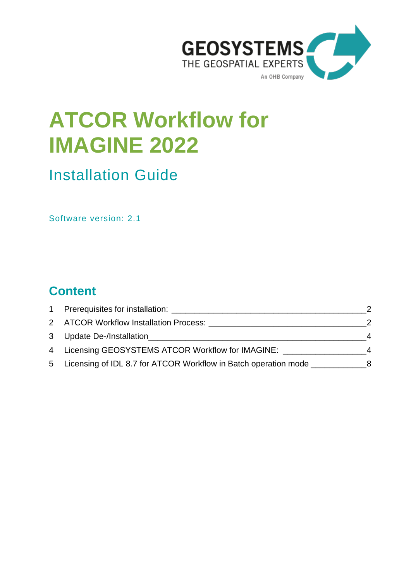

# **ATCOR Workflow for IMAGINE 2022**

## Installation Guide

Software version: 2.1

## **Content**

| $\mathbf{1}$ |                                                                                  |   |
|--------------|----------------------------------------------------------------------------------|---|
|              | 2 ATCOR Workflow Installation Process: 2001 ATCOR Workflow Installation Process: |   |
|              | 3 Update De-/Installation                                                        | 4 |
|              | 4 Licensing GEOSYSTEMS ATCOR Workflow for IMAGINE:                               | 4 |
|              | 5 Licensing of IDL 8.7 for ATCOR Workflow in Batch operation mode                | 8 |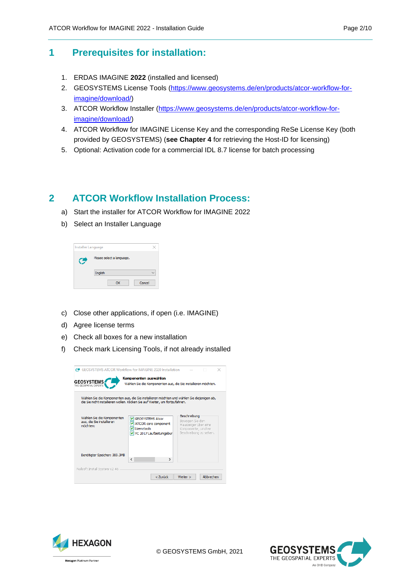#### <span id="page-1-0"></span>**1 Prerequisites for installation:**

- 1. ERDAS IMAGINE **2022** (installed and licensed)
- 2. GEOSYSTEMS License Tools [\(https://www.geosystems.de/en/products/atcor-workflow-for](https://www.geosystems.de/en/products/atcor-workflow-for-imagine/download/)[imagine/download/\)](https://www.geosystems.de/en/products/atcor-workflow-for-imagine/download/)
- 3. ATCOR Workflow Installer [\(https://www.geosystems.de/en/products/atcor-workflow-for](https://www.geosystems.de/en/products/atcor-workflow-for-imagine/download/)[imagine/download/\)](https://www.geosystems.de/en/products/atcor-workflow-for-imagine/download/)
- 4. ATCOR Workflow for IMAGINE License Key and the corresponding ReSe License Key (both provided by GEOSYSTEMS) (**see Chapter 4** for retrieving the Host-ID for licensing)
- 5. Optional: Activation code for a commercial IDL 8.7 license for batch processing

#### <span id="page-1-1"></span>**2 ATCOR Workflow Installation Process:**

- a) Start the installer for ATCOR Workflow for IMAGINE 2022
- b) Select an Installer Language

| Installer Language |                           |        |  |  |  |
|--------------------|---------------------------|--------|--|--|--|
|                    | Please select a language. |        |  |  |  |
|                    | English                   |        |  |  |  |
|                    | ОК                        | Cancel |  |  |  |

- c) Close other applications, if open (i.e. IMAGINE)
- d) Agree license terms
- e) Check all boxes for a new installation
- f) Check mark Licensing Tools, if not already installed

| C <sup>+</sup> GEOSYSTEMS ATCOR Workflow for IMAGINE 2020 Installation<br><b>GEOSYSTEMS</b><br>THE GEOSPATIAL EXPERTS                                                     | Komponenten auswählen<br>Wählen Sie die Komponenten aus, die Sie installieren möchten.     |                                                                                                          |  |  |  |
|---------------------------------------------------------------------------------------------------------------------------------------------------------------------------|--------------------------------------------------------------------------------------------|----------------------------------------------------------------------------------------------------------|--|--|--|
| Wählen Sie die Komponenten aus, die Sie installieren möchten und wählen Sie diejenigen ab,<br>die Sie nicht installieren wollen. Klicken Sie auf Weiter, um fortzufahren. |                                                                                            |                                                                                                          |  |  |  |
| Wählen Sie die Komponenten<br>aus, die Sie installieren<br>möchten:                                                                                                       | V GEOSYSTEMS Atcor<br>✔ ATCOR core component<br>V Lizenztools<br>V VC 2017 Laufzeitumgebur | Beschreibung<br>Bewegen Sie den<br>Mauszeiger über eine<br>Komponente, um ihre<br>Beschreibung zu sehen. |  |  |  |
| Benötigter Speicher: 369.3MB                                                                                                                                              | ∢<br>>                                                                                     |                                                                                                          |  |  |  |
| Nullsoft Install System v2.46                                                                                                                                             | < Zurück                                                                                   | Abbrechen<br>Weiter >                                                                                    |  |  |  |



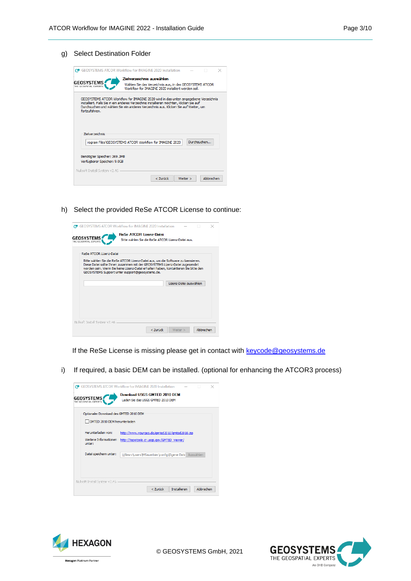g) Select Destination Folder



h) Select the provided ReSe ATCOR License to continue:

| ReSe ATCOR Lizenz-Datei                                                                                                                                                                                                                                                                                     | Bitte wählen Sie die ReSe ATCOR Lizenz-Datei aus. |                        |  |  |
|-------------------------------------------------------------------------------------------------------------------------------------------------------------------------------------------------------------------------------------------------------------------------------------------------------------|---------------------------------------------------|------------------------|--|--|
| Bitte wählen Sie die ReSe ATCOR Lizenz-Datei aus, um die Software zu lizensieren.<br>Diese Datei sollte Ihnen zusammen mit der GEOSYSTEMS Lizenz-Datei zugesendet<br>worden sein. Wenn Sie keine Lizenz-Datei erhalten haben, kontaktieren Sie bitte den<br>GEOSYSTEMS Support unter support@geosystems.de. |                                                   |                        |  |  |
|                                                                                                                                                                                                                                                                                                             |                                                   | Lizenz-Datei auswählen |  |  |
|                                                                                                                                                                                                                                                                                                             |                                                   |                        |  |  |
| Nullsoft Install System v2.46                                                                                                                                                                                                                                                                               |                                                   |                        |  |  |

If the ReSe License is missing please get in contact with [keycode@geosystems.de](mailto:keycode@geosystems.de?subject=Lizenzanfrage%20ATCOR%20Workflow%20für%20IMAGINE)

i) If required, a basic DEM can be installed. (optional for enhancing the ATCOR3 process)

|                                            | GEOSYSTEMS ATCOR Workflow for IMAGINE 2020 Installation           |           | × |
|--------------------------------------------|-------------------------------------------------------------------|-----------|---|
| <b>GEOSYSTEMS</b><br>THE GEOSPATIAL EXPERT | Download USGS GMTED 2010 DEM<br>Laden Sie das USGS GMTED 2010 DEM |           |   |
| Optionaler Download des GMTED 2010 DEM     |                                                                   |           |   |
| GMTED 2010 DEM herunterladen               |                                                                   |           |   |
| Herunterladen von:                         | http://www.yourgeo.de/gmted2010/gmted2010.zip                     |           |   |
| Weitere Informationen<br>unter:            | http://topotools.cr.usgs.gov/GMTED_viewer/                        |           |   |
| Datei speichern unter:                     | \\filesrv\users\MSauerbier\config\Eigene Date Auswählen           |           |   |
|                                            |                                                                   |           |   |
|                                            |                                                                   |           |   |
| Nullsoft Install System v2.46              |                                                                   |           |   |
|                                            | <b>Installieren</b><br>< Zurück                                   | Abbrechen |   |





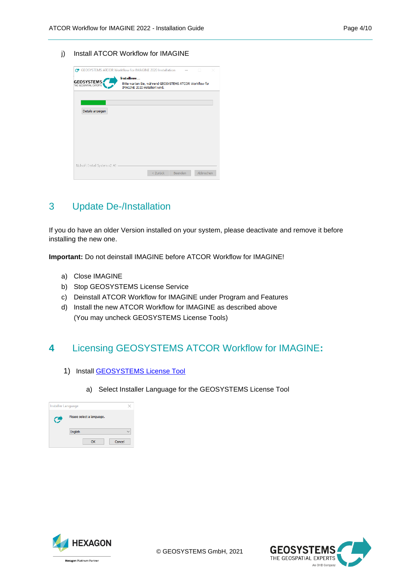j) Install ATCOR Workflow for IMAGINE

|                                             | ○ GEOSYSTEMS ATCOR Workflow for IMAGINE 2020 Installation<br>n<br>×                       |
|---------------------------------------------|-------------------------------------------------------------------------------------------|
|                                             | Installiere                                                                               |
| <b>GEOSYSTEMS</b><br>THE GEOSPATIAL EXPERTS | Bitte warten Sie, während GEOSYSTEMS ATCOR Workflow for<br>IMAGINE 2020 installiert wird. |
|                                             |                                                                                           |
|                                             |                                                                                           |
| Details anzeigen                            |                                                                                           |
|                                             |                                                                                           |
|                                             |                                                                                           |
|                                             |                                                                                           |
|                                             |                                                                                           |
|                                             |                                                                                           |
|                                             |                                                                                           |
|                                             |                                                                                           |
| Nullsoft Install System v2.46               |                                                                                           |
|                                             |                                                                                           |

### <span id="page-3-0"></span>3 Update De-/Installation

If you do have an older Version installed on your system, please deactivate and remove it before installing the new one.

**Important:** Do not deinstall IMAGINE before ATCOR Workflow for IMAGINE!

- a) Close IMAGINE
- b) Stop GEOSYSTEMS License Service
- c) Deinstall ATCOR Workflow for IMAGINE under Program and Features
- d) Install the new ATCOR Workflow for IMAGINE as described above (You may uncheck GEOSYSTEMS License Tools)

## <span id="page-3-1"></span>**4** Licensing GEOSYSTEMS ATCOR Workflow for IMAGINE**:**

- 1) Install **GEOSYSTEMS** License Tool
	- a) Select Installer Language for the GEOSYSTEMS License Tool

| Installer Language |                           |  |
|--------------------|---------------------------|--|
|                    | Please select a language. |  |
|                    | English                   |  |
|                    | Cancel<br>OK              |  |



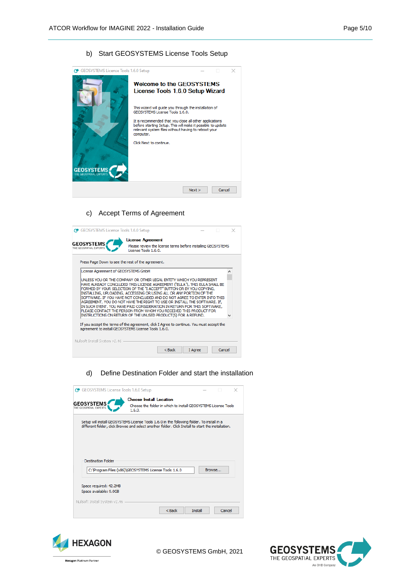#### b) Start GEOSYSTEMS License Tools Setup

| GEOSYSTEMS License Tools 1.6.0 Setup      |                                                                                                                                                                                                                                                                                                                                                                                     |      |        | × |
|-------------------------------------------|-------------------------------------------------------------------------------------------------------------------------------------------------------------------------------------------------------------------------------------------------------------------------------------------------------------------------------------------------------------------------------------|------|--------|---|
| <b>GEOSYSTEM:</b><br><b>OSPATIAL EXPI</b> | Welcome to the GFOSYSTEMS<br>License Tools 1.6.0 Setup Wizard<br>This wizard will quide you through the installation of<br>GEOSYSTEMS License Tools 1.6.0.<br>It is recommended that you close all other applications<br>before starting Setup. This will make it possible to update<br>relevant system files without having to reboot your<br>computer.<br>Click Next to continue. |      |        |   |
|                                           |                                                                                                                                                                                                                                                                                                                                                                                     | Next | Cancel |   |

#### c) Accept Terms of Agreement



d) Define Destination Folder and start the installation

|                               | <b>Choose Install Location</b>                                                                     |        |  |
|-------------------------------|----------------------------------------------------------------------------------------------------|--------|--|
| <b>GEOSYSTEMS</b>             | Choose the folder in which to install GEOSYSTEMS License Tools                                     |        |  |
| THE GEOSPATIAL EXPERTS        | 1,6.0.                                                                                             |        |  |
|                               | Setup will install GEOSYSTEMS License Tools 1.6.0 in the following folder. To install in a         |        |  |
|                               | different folder, click Browse and select another folder. Click Install to start the installation. |        |  |
|                               |                                                                                                    |        |  |
|                               |                                                                                                    |        |  |
|                               |                                                                                                    |        |  |
|                               |                                                                                                    |        |  |
|                               |                                                                                                    |        |  |
| <b>Destination Folder</b>     |                                                                                                    |        |  |
|                               |                                                                                                    | Browse |  |
|                               | C: Vrogram Files (x86) \GEOSYSTEMS License Tools 1.6.0                                             |        |  |
|                               |                                                                                                    |        |  |
| Space required: 42.2MB        |                                                                                                    |        |  |
| Space available: 9.0GB        |                                                                                                    |        |  |
| Nullsoft Install System v2.46 |                                                                                                    |        |  |



© GEOSYSTEMS GmbH, 2021

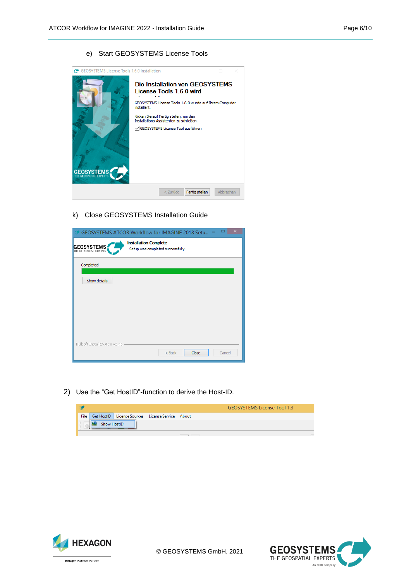#### e) Start GEOSYSTEMS License Tools

| <b>GEOSYSTEMS License Tools 1.6.0 Installation</b><br>ⅇ |                                                                                                                                                                                                                                                                  |                |           |  |
|---------------------------------------------------------|------------------------------------------------------------------------------------------------------------------------------------------------------------------------------------------------------------------------------------------------------------------|----------------|-----------|--|
| <b>GEOSYSTEMS</b><br>THE GEOSPATIAL EXPER               | Die Installation von GEOSYSTEMS<br>License Tools 1.6.0 wird<br>GEOSYSTEMS License Tools 1.6.0 wurde auf Ihrem Computer<br>installiert.<br>Klicken Sie auf Fertig stellen, um den<br>Installations-Assistenten zu schließen.<br>GEOSYSTEMS License Tool ausführen |                |           |  |
|                                                         | $<$ Zurück                                                                                                                                                                                                                                                       | Fertig stellen | Abbrechen |  |

#### k) Close GEOSYSTEMS Installation Guide

|                               | $\times$<br>GEOSYSTEMS ATCOR Workflow for IMAGINE 2018 Setu       |  |  |  |  |
|-------------------------------|-------------------------------------------------------------------|--|--|--|--|
| <b>GEOSYSTEMS</b>             | <b>Installation Complete</b><br>Setup was completed successfully. |  |  |  |  |
| Completed                     |                                                                   |  |  |  |  |
| Show details                  |                                                                   |  |  |  |  |
|                               |                                                                   |  |  |  |  |
|                               |                                                                   |  |  |  |  |
|                               |                                                                   |  |  |  |  |
|                               |                                                                   |  |  |  |  |
| Nullsoft Install System v2.46 | Close<br>$<$ Back<br>Cancel                                       |  |  |  |  |

2) Use the "Get HostID"-function to derive the Host-ID.

|             |             |                                                        | <b>GEOSYSTEMS License Tool 1.3</b> |
|-------------|-------------|--------------------------------------------------------|------------------------------------|
| <b>File</b> |             | Get HostID   License Sources   License Service   About |                                    |
|             | Show HostID |                                                        |                                    |
|             |             |                                                        |                                    |



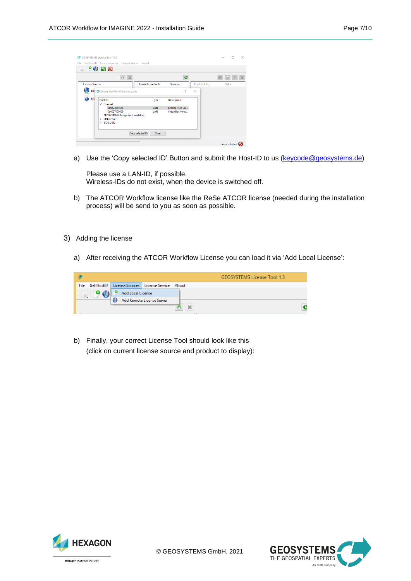|                        | Get HostID License Sources License Service About                                           |                           |                          |               |       |
|------------------------|--------------------------------------------------------------------------------------------|---------------------------|--------------------------|---------------|-------|
|                        | <b>QPOBU</b>                                                                               |                           |                          |               |       |
|                        |                                                                                            |                           | e                        |               |       |
| <b>License Sources</b> |                                                                                            | <b>Available Products</b> | Versions                 | Product Info. | Value |
|                        | bat c Shows HostiDs of this computer                                                       |                           | $\overline{\phantom{a}}$ | $\times$      |       |
| Me                     | <b>HostIDs</b>                                                                             | Type                      | <b>Description</b>       |               |       |
|                        | $\times$ Ethernet                                                                          |                           |                          |               |       |
|                        | 309c23819a1e                                                                               | LAN                       | Realtek PCIe Gb          |               |       |
|                        | 0a0027000006<br><b>GEOSYSTEMS Dongle (not available)</b><br>> DISK Serial<br>$>$ BIOS UUID | <b>LAN</b>                | VirtualBox Host          |               |       |
|                        | Copy selected ID                                                                           | Close                     |                          |               |       |

a) Use the 'Copy selected ID' Button and submit the Host-ID to us [\(keycode@geosystems.de\)](mailto:keycode@geosystems.de)

Please use a LAN-ID, if possible. Wireless-IDs do not exist, when the device is switched off.

- b) The ATCOR Workflow license like the ReSe ATCOR license (needed during the installation process) will be send to you as soon as possible.
- 3) Adding the license
	- a) After receiving the ATCOR Workflow License you can load it via 'Add Local License':



b) Finally, your correct License Tool should look like this (click on current license source and product to display):

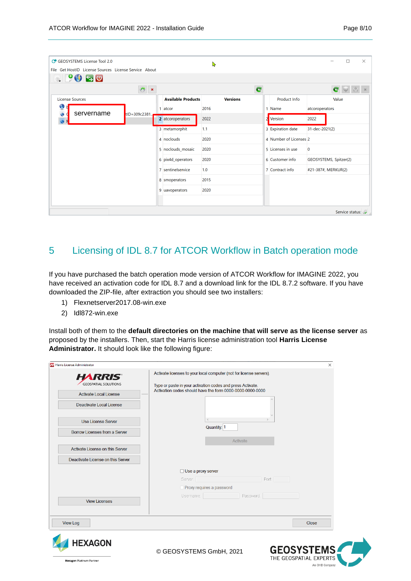| GEOSYSTEMS License Tool 2.0                           |                |                           | ▶               |              |                        | $\times$<br>П          |
|-------------------------------------------------------|----------------|---------------------------|-----------------|--------------|------------------------|------------------------|
| File Get HostID License Sources License Service About |                |                           |                 |              |                        |                        |
| $\bullet$ 9050                                        |                |                           |                 |              |                        |                        |
|                                                       | $\pmb{\times}$ |                           | C               |              |                        | e                      |
| <b>License Sources</b>                                |                | <b>Available Products</b> | <b>Versions</b> |              | Product Info           | Value                  |
| $\bullet$<br>servername                               |                | 1 atcor                   | 2016            |              | 1 Name                 | atcoroperators         |
| tID=309c2381.<br>$\bullet$                            |                | 2 atcoroperators          | 2022            | $\mathbf{2}$ | Version                | 2022                   |
|                                                       |                | 3 metamorphit             | 1.1             |              | 3 Expiration date      | 31-dec-2021(2)         |
|                                                       |                | 4 noclouds                | 2020            |              | 4 Number of Licenses 2 |                        |
|                                                       |                | 5 noclouds_mosaic         | 2020            |              | 5 Licenses in use      | $\mathbf 0$            |
|                                                       |                | 6 pix4d_operators         | 2020            |              | 6 Customer info        | GEOSYSTEMS, Spitzer(2) |
|                                                       |                | 7 sentinelservice         | 1.0             |              | 7 Contract info        | #21-387#, MERKUR(2)    |
|                                                       |                | 8 smoperators             | 2015            |              |                        |                        |
|                                                       |                | 9 uavoperators            | 2020            |              |                        |                        |
|                                                       |                |                           |                 |              |                        |                        |
|                                                       |                |                           |                 |              |                        | Service status:        |

## <span id="page-7-0"></span>5 Licensing of IDL 8.7 for ATCOR Workflow in Batch operation mode

If you have purchased the batch operation mode version of ATCOR Workflow for IMAGINE 2022, you have received an activation code for IDL 8.7 and a download link for the IDL 8.7.2 software. If you have downloaded the ZIP-file, after extraction you should see two installers:

- 1) Flexnetserver2017.08-win.exe
- 2) Idl872-win.exe

Install both of them to the **default directories on the machine that will serve as the license server** as proposed by the installers. Then, start the Harris license administration tool **Harris License Administrator.** It should look like the following figure:

| <b>77</b> Harris License Administrator            |                                                                     | $\times$                                                      |
|---------------------------------------------------|---------------------------------------------------------------------|---------------------------------------------------------------|
| <b>HARRIS</b> ®                                   | Activate licenses to your local computer (not for license servers). |                                                               |
| <b>GEOSPATIAL SOLUTIONS</b>                       | Type or paste in your activation codes and press Activate.          |                                                               |
| Activate Local License                            | Activation codes should have the form 0000-0000-0000-0000           |                                                               |
| Deactivate Local License                          |                                                                     |                                                               |
| <b>Use License Server</b>                         | $\epsilon$                                                          |                                                               |
| Borrow Licenses from a Server                     | Quantity: 1                                                         |                                                               |
| Activate License on this Server                   | Activate                                                            |                                                               |
| Deactivate License on this Server                 |                                                                     |                                                               |
|                                                   | $\Box$ Use a proxy server                                           |                                                               |
|                                                   | Server:                                                             | Port:                                                         |
|                                                   | Proxy requires a password                                           |                                                               |
| <b>View Licenses</b>                              | Username: New York 1999<br>Password:                                |                                                               |
|                                                   |                                                                     |                                                               |
| <b>View Log</b>                                   |                                                                     | Close                                                         |
| <b>HEXAGON</b><br><b>Hexagon Platinum Partner</b> | © GEOSYSTEMS GmbH, 2021                                             | <b>GEOSYSTEMS</b><br>THE GEOSPATIAL EXPERTS<br>An OHB Company |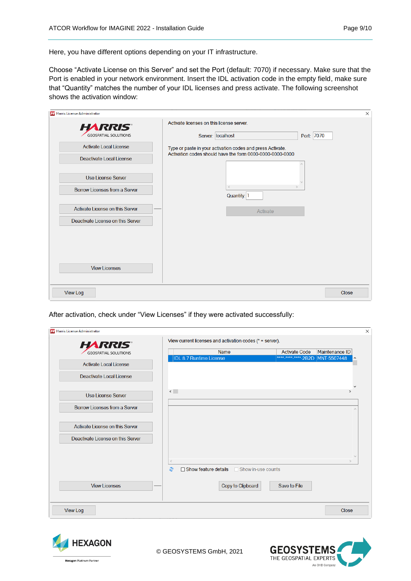Here, you have different options depending on your IT infrastructure.

Choose "Activate License on this Server" and set the Port (default: 7070) if necessary. Make sure that the Port is enabled in your network environment. Insert the IDL activation code in the empty field, make sure that "Quantity" matches the number of your IDL licenses and press activate. The following screenshot shows the activation window:

| Harris License Administrator      |                                                                                                                         | $\times$ |
|-----------------------------------|-------------------------------------------------------------------------------------------------------------------------|----------|
| <b>HARRIS®</b>                    | Activate licenses on this license server.                                                                               |          |
| <b>GEOSPATIAL SOLUTIONS</b>       | Port: 7070<br>Server: localhost                                                                                         |          |
| Activate Local License            | Type or paste in your activation codes and press Activate.<br>Activation codes should have the form 0000-0000-0000-0000 |          |
| Deactivate Local License          |                                                                                                                         |          |
| Use License Server                |                                                                                                                         |          |
| Borrow Licenses from a Server     | $\epsilon$<br>Quantity: 1                                                                                               |          |
| Activate License on this Server   | Activate                                                                                                                |          |
| Deactivate License on this Server |                                                                                                                         |          |
|                                   |                                                                                                                         |          |
|                                   |                                                                                                                         |          |
|                                   |                                                                                                                         |          |
| <b>View Licenses</b>              |                                                                                                                         |          |
| <b>View Log</b>                   |                                                                                                                         | Close    |
|                                   |                                                                                                                         |          |

After activation, check under "View Licenses" if they were activated successfully:

| Harris License Administrator      |                                |                                                             |                                                         |                               |
|-----------------------------------|--------------------------------|-------------------------------------------------------------|---------------------------------------------------------|-------------------------------|
| <b>HARRIS®</b>                    |                                | View current licenses and activation codes ( $*$ = server). |                                                         |                               |
| <b>GEOSPATIAL SOLUTIONS</b>       | <b>IDL 8.7 Runtime License</b> | <b>Name</b>                                                 | <b>Activate Code</b><br>**** <sub>*****</sub> ****-2B2D | Maintenance ID<br>MNT-5507448 |
| <b>Activate Local License</b>     |                                |                                                             |                                                         |                               |
| Deactivate Local License          |                                |                                                             |                                                         |                               |
| Use License Server                | $\leftarrow$                   |                                                             |                                                         | $\rightarrow$                 |
| Borrow Licenses from a Server     |                                |                                                             |                                                         | $\wedge$                      |
| Activate License on this Server   |                                |                                                             |                                                         |                               |
| Deactivate License on this Server |                                |                                                             |                                                         |                               |
|                                   |                                |                                                             |                                                         |                               |
|                                   | æ                              | □ Show feature details □ Show in-use counts                 |                                                         |                               |
| <b>View Licenses</b>              |                                | Copy to Clipboard                                           | Save to File                                            |                               |
| <b>View Log</b>                   |                                |                                                             |                                                         | Close                         |





© GEOSYSTEMS GmbH, 2021